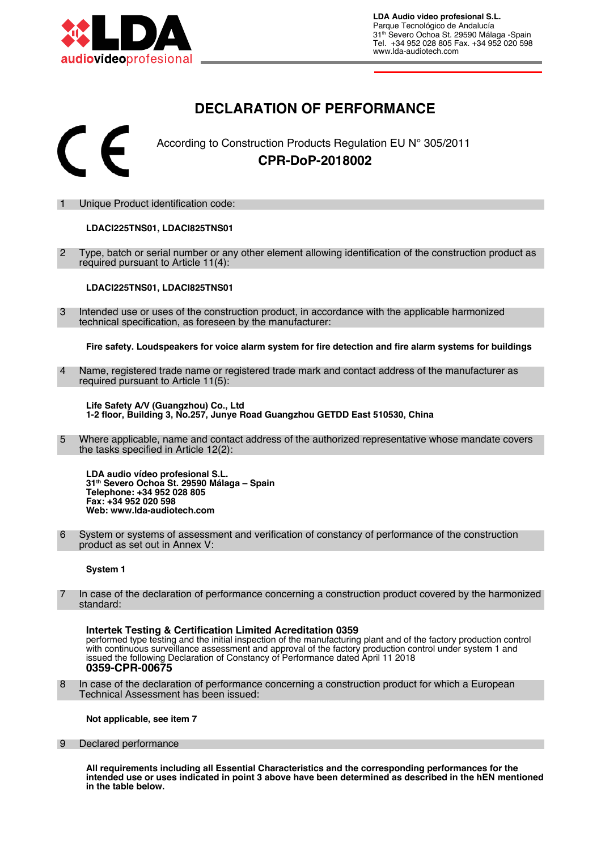

# **DECLARATION OF PERFORMANCE**



According to Construction Products Regulation EU N° 305/2011 **CPR-DoP-2018002**

Unique Product identification code:

# **LDACI225TNS01, LDACI825TNS01**

 2 Type, batch or serial number or any other element allowing identifcation of the construction product as required pursuant to Article 11(4):

**LDACI225TNS01, LDACI825TNS01**

 3 Intended use or uses of the construction product, in accordance with the applicable harmonized technical specification, as foreseen by the manufacturer:

**Fire safety. Loudspeakers for voice alarm system for fre detection and fre alarm systems for buildings**

 4 Name, registered trade name or registered trade mark and contact address of the manufacturer as required pursuant to Article 11(5):

**Life Safety A/V (Guangzhou) Co., Ltd 1-2 foor, Building 3, No.257, Junye Road Guangzhou GETDD East 510530, China**

 5 Where applicable, name and contact address of the authorized representative whose mandate covers the tasks specified in Article 12(2):

**LDA audio vídeo profesional S.L. 31th Severo Ochoa St. 29590 Málaga – Spain Telephone: +34 952 028 805 Fax: +34 952 020 598 Web: www.lda-audiotech.com**

 6 System or systems of assessment and verifcation of constancy of performance of the construction product as set out in Annex V:

### **System 1**

In case of the declaration of performance concerning a construction product covered by the harmonized standard:

**Intertek Testing & Certification Limited Acreditation 0359** performed type testing and the initial inspection of the manufacturing plant and of the factory production control with continuous surveillance assessment and approval of the factory production control under system 1 and issued the following Declaration of Constancy of Performance dated April 11 2018 **0359-CPR-00675** 

 8 In case of the declaration of performance concerning a construction product for which a European Technical Assessment has been issued:

**Not applicable, see item 7**

#### 9 Declared performance

**All requirements including all Essential Characteristics and the corresponding performances for the intended use or uses indicated in point 3 above have been determined as described in the hEN mentioned in the table below.**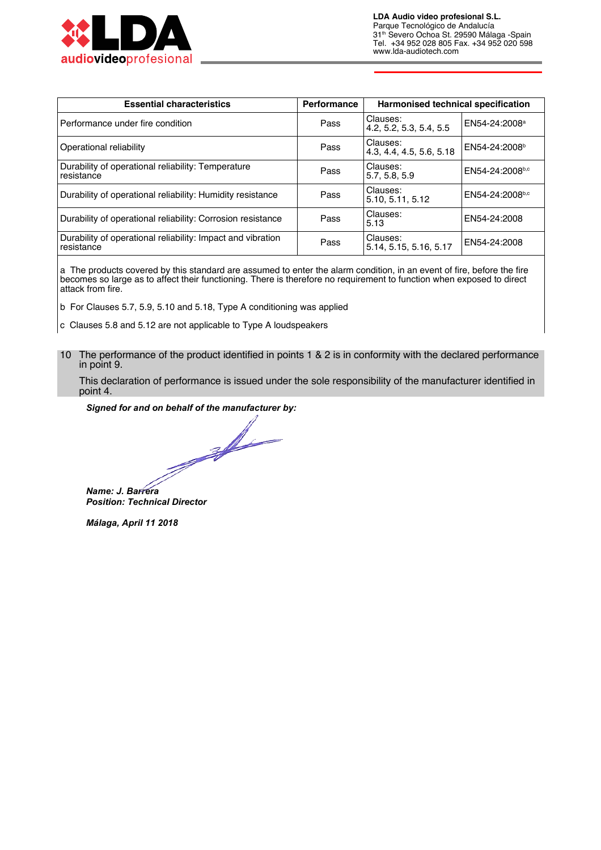

| <b>Essential characteristics</b>                                          | <b>Performance</b> | Harmonised technical specification   |                           |
|---------------------------------------------------------------------------|--------------------|--------------------------------------|---------------------------|
| Performance under fire condition                                          | Pass               | Clauses:<br>4.2, 5.2, 5.3, 5.4, 5.5  | EN54-24:2008 <sup>a</sup> |
| Operational reliability                                                   | Pass               | Clauses:<br>4.3, 4.4, 4.5, 5.6, 5.18 | EN54-24:2008 <sup>b</sup> |
| Durability of operational reliability: Temperature<br>resistance          | Pass               | Clauses:<br>5.7, 5.8, 5.9            | EN54-24:2008b,c           |
| Durability of operational reliability: Humidity resistance                | Pass               | Clauses:<br>5.10.5.11.5.12           | EN54-24:2008b,c           |
| Durability of operational reliability: Corrosion resistance               | Pass               | Clauses:<br>5.13                     | EN54-24:2008              |
| Durability of operational reliability: Impact and vibration<br>resistance | Pass               | Clauses:<br>5.14, 5.15, 5.16, 5.17   | EN54-24:2008              |

a The products covered by this standard are assumed to enter the alarm condition, in an event of fire, before the fire becomes so large as to affect their functioning. There is therefore no requirement to function when exposed to direct attack from fire.

b For Clauses 5.7, 5.9, 5.10 and 5.18, Type A conditioning was applied

c Clauses 5.8 and 5.12 are not applicable to Type A loudspeakers

10 The performance of the product identified in points 1 & 2 is in conformity with the declared performance in point 9.

This declaration of performance is issued under the sole responsibility of the manufacturer identified in point 4.

#### Signed for and on behalf of the manufacturer by:

and the contract of the contract of Name: J. Barrera **Position: Technical Director** 

Málaga, April 11 2018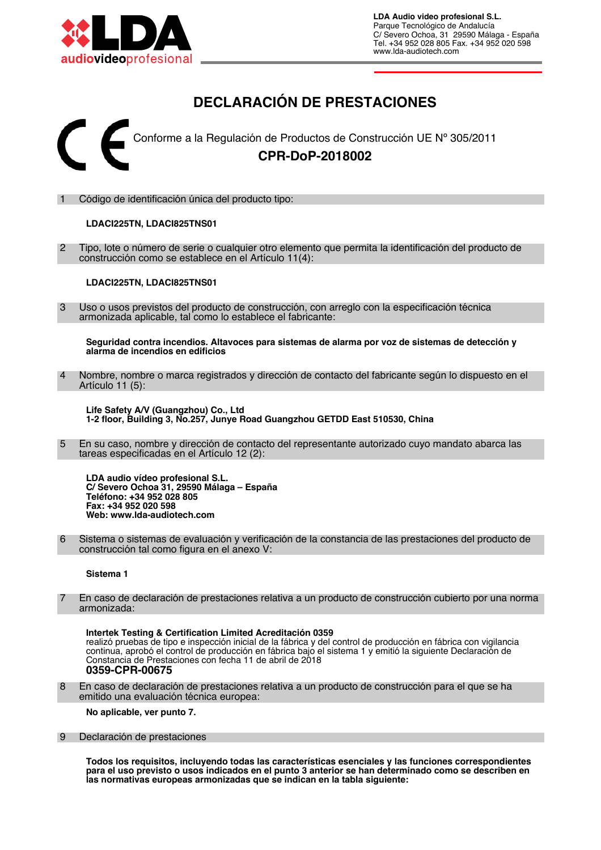

# **DECLARACIÓN DE PRESTACIONES**



### 1 Código de identifcación única del producto tipo:

## **LDACI225TN, LDACI825TNS01**

 2 Tipo, lote o número de serie o cualquier otro elemento que permita la identifcación del producto de construcción como se establece en el Artículo 11(4):

#### **LDACI225TN, LDACI825TNS01**

 3 Uso o usos previstos del producto de construcción, con arreglo con la especifcación técnica armonizada aplicable, tal como lo establece el fabricante:

**Seguridad contra incendios. Altavoces para sistemas de alarma por voz de sistemas de detección y alarma de incendios en edifcios**

Nombre, nombre o marca registrados y dirección de contacto del fabricante según lo dispuesto en el Artículo 11 (5):

**Life Safety A/V (Guangzhou) Co., Ltd 1-2 foor, Building 3, No.257, Junye Road Guangzhou GETDD East 510530, China**

 5 En su caso, nombre y dirección de contacto del representante autorizado cuyo mandato abarca las tareas especificadas en el Artículo 12 (2):

**LDA audio vídeo profesional S.L. C/ Severo Ochoa 31, 29590 Málaga – España Teléfono: +34 952 028 805 Fax: +34 952 020 598 Web: www.lda-audiotech.com**

 6 Sistema o sistemas de evaluación y verifcación de la constancia de las prestaciones del producto de construcción tal como figura en el anexo V:

#### **Sistema 1**

 7 En caso de declaración de prestaciones relativa a un producto de construcción cubierto por una norma armonizada:

**Intertek Testing & Certifcation Limited Acreditación 0359** realizó pruebas de tipo e inspección inicial de la fábrica y del control de producción en fábrica con vigilancia continua, aprobó el control de producción en fábrica bajo el sistema 1 y emitió la siguiente Declaración de Constancia de Prestaciones con fecha 11 de abril de 2018 **0359-CPR-00675**

 8 En caso de declaración de prestaciones relativa a un producto de construcción para el que se ha emitido una evaluación técnica europea:

**No aplicable, ver punto 7.**

#### 9 Declaración de prestaciones

**Todos los requisitos, incluyendo todas las características esenciales y las funciones correspondientes para el uso previsto o usos indicados en el punto 3 anterior se han determinado como se describen en las normativas europeas armonizadas que se indican en la tabla siguiente:**